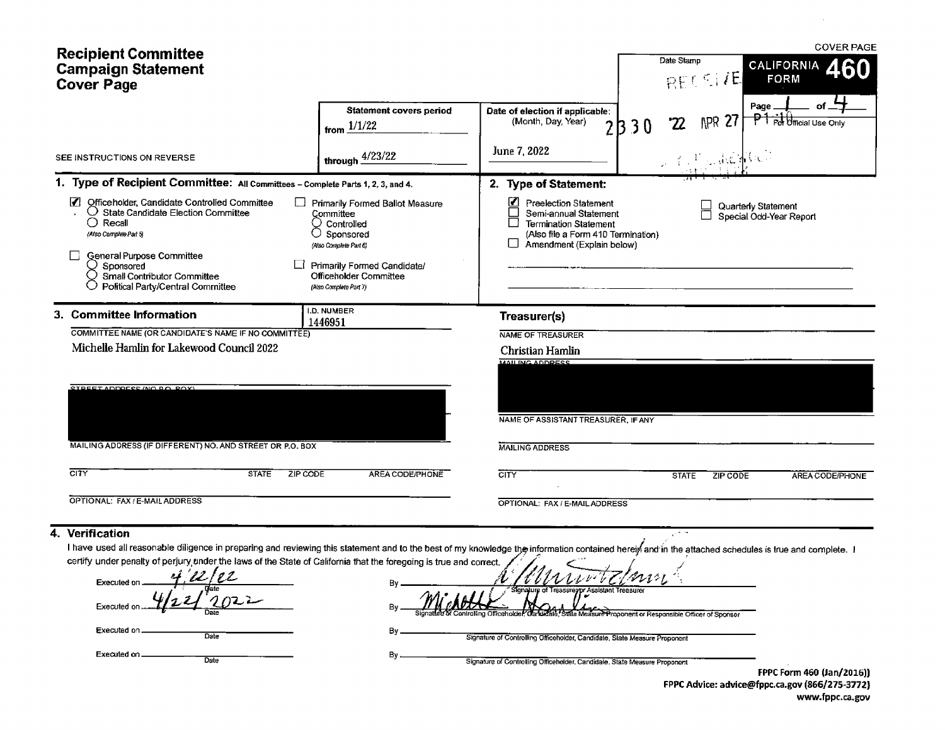| <b>Recipient Committee</b>                                                                                                                                                                                                                                                                                                                                                                                                             |                                                                                                                                                                                             |                                                                                                                                                               | <b>COVER PAGE</b>                                                |
|----------------------------------------------------------------------------------------------------------------------------------------------------------------------------------------------------------------------------------------------------------------------------------------------------------------------------------------------------------------------------------------------------------------------------------------|---------------------------------------------------------------------------------------------------------------------------------------------------------------------------------------------|---------------------------------------------------------------------------------------------------------------------------------------------------------------|------------------------------------------------------------------|
| <b>Campaign Statement</b><br><b>Cover Page</b>                                                                                                                                                                                                                                                                                                                                                                                         |                                                                                                                                                                                             |                                                                                                                                                               | Date Stamp<br><b>CALIFORNIA</b><br>RO)<br>RECEIVE<br><b>FORM</b> |
| SEE INSTRUCTIONS ON REVERSE                                                                                                                                                                                                                                                                                                                                                                                                            | <b>Statement covers period</b><br>from $1/1/22$<br>through $\frac{4/23/22}{ }$                                                                                                              | Date of election if applicable:<br>(Month, Day, Year)<br>ß<br>June 7, 2022                                                                                    | Page<br><b>NPR 27</b><br>P Trol Ufficial Use Only<br>'22<br>30   |
|                                                                                                                                                                                                                                                                                                                                                                                                                                        |                                                                                                                                                                                             |                                                                                                                                                               |                                                                  |
| 1. Type of Recipient Committee: All Committees - Complete Parts 1, 2, 3, and 4.                                                                                                                                                                                                                                                                                                                                                        |                                                                                                                                                                                             | 2. Type of Statement:                                                                                                                                         |                                                                  |
| И<br>Officeholder, Candidate Controlled Committee<br>$\cup$ State Candidate Election Committee<br>Recall<br>0<br>(Also Complete Part 5)<br>General Purpose Committee<br>Sponsored<br>Small Contributor Committee<br>Political Party/Central Committee                                                                                                                                                                                  | Primarily Formed Ballot Measure<br>Committee<br>$\cup$ Controlled<br>Sponsored<br>(Also Complete Part 6)<br>Primarily Formed Candidate/<br>Officeholder Committee<br>(Also Complete Part 7) | 띰<br><b>Preelection Statement</b><br>Semi-annual Statement<br><b>Termination Statement</b><br>(Also file a Form 410 Termination)<br>Amendment (Explain below) | Quarterly Statement<br>Special Odd-Year Report                   |
| 3. Committee Information                                                                                                                                                                                                                                                                                                                                                                                                               | I.D. NUMBER<br>1446951                                                                                                                                                                      | Treasurer(s)                                                                                                                                                  |                                                                  |
| COMMITTEE NAME (OR CANDIDATE'S NAME IF NO COMMITTEE)<br>Michelle Hamlin for Lakewood Council 2022<br>STREET ANNRESS (NO ROLEOV)                                                                                                                                                                                                                                                                                                        |                                                                                                                                                                                             | NAME OF TREASURER<br>Christian Hamlin<br><b>MAILING ADDRESS</b>                                                                                               |                                                                  |
|                                                                                                                                                                                                                                                                                                                                                                                                                                        |                                                                                                                                                                                             | NAME OF ASSISTANT TREASURER, IF ANY                                                                                                                           |                                                                  |
| MAILING ADDRESS (IF DIFFERENT) NO. AND STREET OR P.O. BOX                                                                                                                                                                                                                                                                                                                                                                              |                                                                                                                                                                                             | <b>MAILING ADDRESS</b>                                                                                                                                        |                                                                  |
| $\overline{\text{CITY}}$<br><b>STATE</b><br>ZIP CODE                                                                                                                                                                                                                                                                                                                                                                                   | AREA CODE/PHONE                                                                                                                                                                             | CITY                                                                                                                                                          | <b>STATE</b><br>ZIP CODE<br><b>AREA CODE/PHONE</b>               |
| OPTIONAL: FAX / E-MAIL ADDRESS                                                                                                                                                                                                                                                                                                                                                                                                         |                                                                                                                                                                                             | OPTIONAL: FAX / E-MAIL ADDRESS                                                                                                                                |                                                                  |
| Verification<br>4.<br>I have used all reasonable diligence in preparing and reviewing this statement and to the best of my knowledge the information contained herein and in the attached schedules is true and complete. I<br>certify under penalty of perjury under the laws of the State of California that the foregoing is true and correct.<br>$\mathcal{L}$ and $\mathcal{L}$<br>Executed on<br>Executed<br>Executed on<br>Date | В٧                                                                                                                                                                                          | Assistant Treasurer<br>`ontrollino Officeholder Oandeale.<br>Signature of Controlling Officeholder, Candidate, State Measure Proponent                        | State Measure Proponent or Responsible Officer of Sponsor        |
| Executed on.<br>Date                                                                                                                                                                                                                                                                                                                                                                                                                   | By.                                                                                                                                                                                         | Signature of Controlling Officeholder, Candidate, State Measure Proponent                                                                                     |                                                                  |

 $\sim 10^6$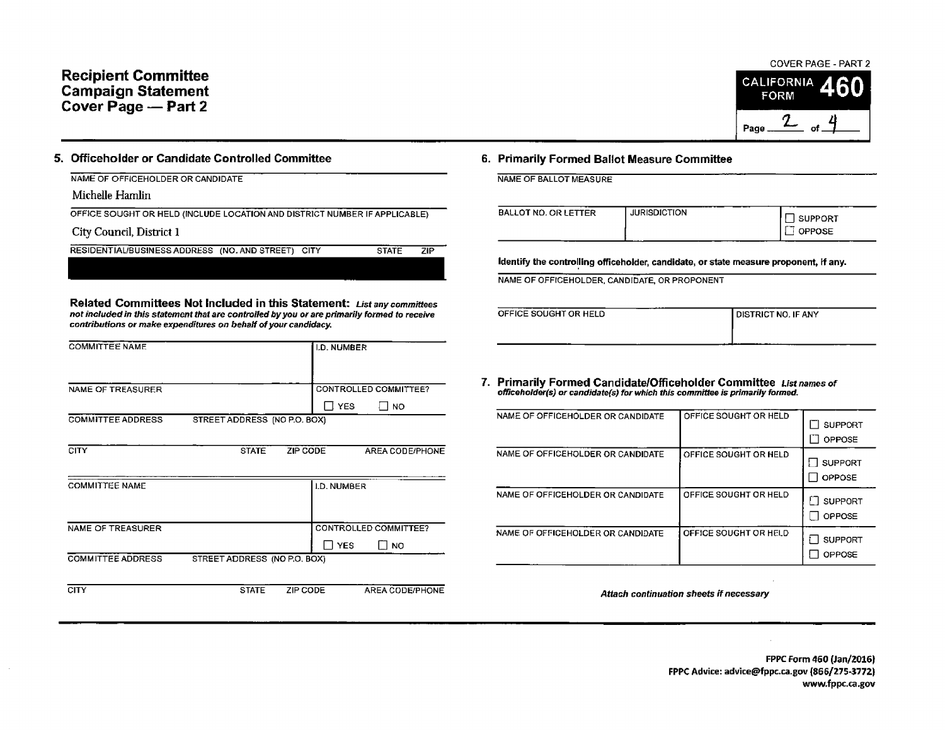## Recipient Committee CALIFORNIA **Campaign Statement** FORM  $\frac{1}{2}$ Cover Page - Part 2

# COVER PAGE- PART 2 Page

### 5. Officeholder or Candidate Controlled Committee 6. Primarily Formed Ballot Measure Committee

NAME OF OFFICEHOLDER OR CANDIDATE NAME OF BALLOT MEASURE

Michelle Hamlin

OFFICE SOUGHT OR HELD (INCLUDE LOCATION AND DISTRICT NUMBER IF APPLICABLE)

City Council, District 1

RESIDENTIAL/BUSINESS ADDRESS (NO. AND STREET) CITY STATE ZIP

Related Committees Not Included in this Statement: List any committees not included in this statement that are controlled by you or are primarily formed to receive contributions or make expenditures on behalf of your candidacy.

| <b>COMMITTEE NAME</b>                                                                               | I.D. NUMBER                                      |                                                                                                                                                     |                       |                                |
|-----------------------------------------------------------------------------------------------------|--------------------------------------------------|-----------------------------------------------------------------------------------------------------------------------------------------------------|-----------------------|--------------------------------|
| NAME OF TREASURER                                                                                   | CONTROLLED COMMITTEE?                            | 7. Primarily Formed Candidate/Officeholder Committee List names of<br>officeholder(s) or candidate(s) for which this committee is primarily formed. |                       |                                |
| STREET ADDRESS (NO P.O. BOX)<br><b>COMMITTEE ADDRESS</b>                                            | $\Box$ YES<br>$\Box$ NO                          | NAME OF OFFICEHOLDER OR CANDIDATE                                                                                                                   | OFFICE SOUGHT OR HELD | $\Box$ SUPPOF<br>$\Box$ OPPOSE |
| <b>CITY</b><br>ZIP CODE<br><b>STATE</b><br><b>COMMITTEE NAME</b>                                    | AREA CODE/PHONE<br>I.D. NUMBER                   | NAME OF OFFICEHOLDER OR CANDIDATE                                                                                                                   | OFFICE SOUGHT OR HELD | $\Box$ SUPPOR<br>OPPOSE        |
|                                                                                                     |                                                  | NAME OF OFFICEHOLDER OR CANDIDATE                                                                                                                   | OFFICE SOUGHT OR HELD | SUPPOR<br>OPPOSE               |
| NAME OF TREASURER                                                                                   | CONTROLLED COMMITTEE?<br>$\Box$ YES<br>$\Box$ NO | NAME OF OFFICEHOLDER OR CANDIDATE                                                                                                                   | OFFICE SOUGHT OR HELD | t I SUPPOR<br>$\Box$ OPPOSE    |
| <b>COMMITTEE ADDRESS</b><br>STREET ADDRESS (NO P.O. BOX)<br><b>CITY</b><br><b>STATE</b><br>ZIP CODE | AREA CODE/PHONE                                  |                                                                                                                                                     | $\blacksquare$        |                                |

| <b>BALLOT NO. OR LETTER</b> | <b>JURISDICTION</b> |                                    |
|-----------------------------|---------------------|------------------------------------|
|                             |                     | SUPPORT                            |
|                             |                     | <b>STATISTICS</b><br><b>OPPOSE</b> |

Identify the controlling officeholder, candidate, or state measure proponent, if any.

NAME OF OFFICEHOLDER, CANDIDATE, OR PROPONENT

| OFFICE SOUGHT OR HELD | . | I DISTRICT NO. IF ANY |
|-----------------------|---|-----------------------|
|                       |   |                       |
|                       |   | ---<br>-----------    |

| NAME OF OFFICEHOLDER OR CANDIDATE | OFFICE SOUGHT OR HELD | <b>SUPPORT</b><br>OPPOSE |
|-----------------------------------|-----------------------|--------------------------|
| NAME OF OFFICEHOLDER OR CANDIDATE | OFFICE SOUGHT OR HELD | <b>SUPPORT</b><br>OPPOSE |
| NAME OF OFFICEHOLDER OR CANDIDATE | OFFICE SOUGHT OR HELD | <b>SUPPORT</b><br>OPPOSE |
| NAME OF OFFICEHOLDER OR CANDIDATE | OFFICE SOUGHT OR HELD | <b>SUPPORT</b><br>OPPOSE |

CODE/PHONE **EXECUTE:** CODE/PHONE Attach continuation sheets if necessary

FPPC Form 460 (Jan/2016) FPPC Advice: advice@fppc.ca.gov (866/275-3772) www.fppc.ca. gov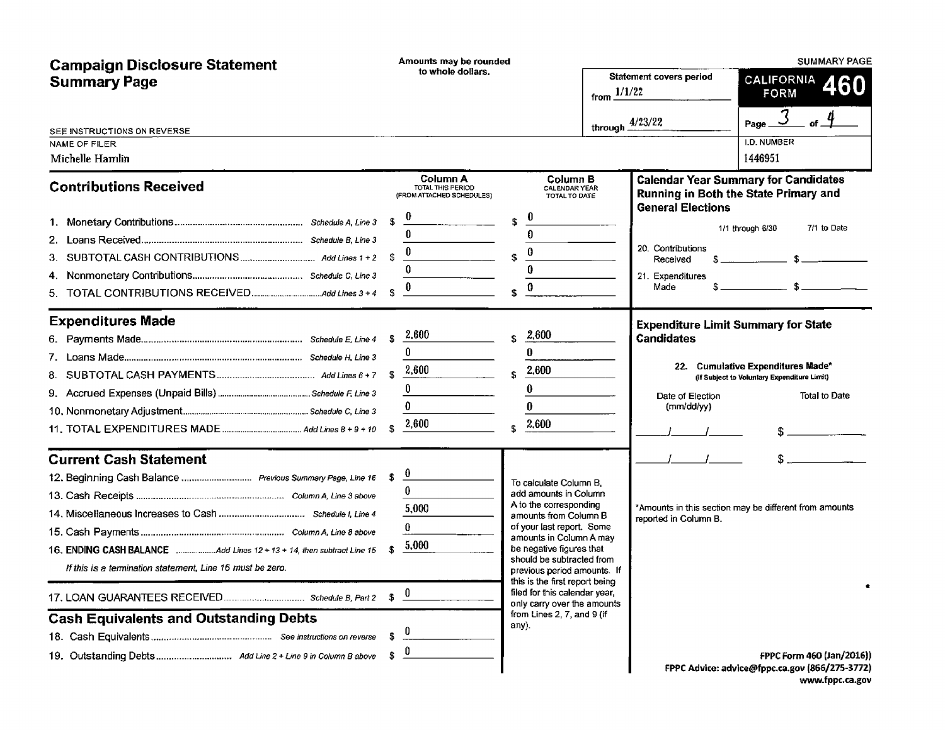| <b>Campaign Disclosure Statement<br/>Summary Page</b>                                                                                                                                                                                                                                                                                                                                                                                                                                                                                         | Amounts may be rounded<br>to whole dollars.                                                                                                                                                                                                                                                                                                                                                                                                                                                                          | <b>Statement covers period</b><br>  from $1/1/22$                                                                  | <b>SUMMARY PAGE</b><br>CALIFORNIA 460                                                                                                                                                                                                                                                                                                                                                                                                                                                                                          |
|-----------------------------------------------------------------------------------------------------------------------------------------------------------------------------------------------------------------------------------------------------------------------------------------------------------------------------------------------------------------------------------------------------------------------------------------------------------------------------------------------------------------------------------------------|----------------------------------------------------------------------------------------------------------------------------------------------------------------------------------------------------------------------------------------------------------------------------------------------------------------------------------------------------------------------------------------------------------------------------------------------------------------------------------------------------------------------|--------------------------------------------------------------------------------------------------------------------|--------------------------------------------------------------------------------------------------------------------------------------------------------------------------------------------------------------------------------------------------------------------------------------------------------------------------------------------------------------------------------------------------------------------------------------------------------------------------------------------------------------------------------|
| SEE INSTRUCTIONS ON REVERSE<br>NAME OF FILER<br>Michelle Hamlin                                                                                                                                                                                                                                                                                                                                                                                                                                                                               |                                                                                                                                                                                                                                                                                                                                                                                                                                                                                                                      | through $\frac{4/23/22}{2}$                                                                                        | $\vert$ Page $\frac{3}{2}$ of $\frac{4}{2}$<br>I.D. NUMBER<br>1446951                                                                                                                                                                                                                                                                                                                                                                                                                                                          |
| ________<br><b>Contributions Received</b>                                                                                                                                                                                                                                                                                                                                                                                                                                                                                                     | <b>Column A</b><br>TOTAL THIS PERIOD<br>(FROM ATTACHED SCHEDULES)                                                                                                                                                                                                                                                                                                                                                                                                                                                    | <b>Column B</b><br>CALENDAR YEAR<br>TOTAL TO DATE<br><b>General Elections</b>                                      | Calendar Year Summary for Candidates<br>Running in Both the State Primary and                                                                                                                                                                                                                                                                                                                                                                                                                                                  |
| 1. Monetary Contributions<br>$\ldots$ Schedule A, Line $3$ $\$$<br>2. Loans Received<br>Schedule B, Line 3<br>3. SUBTOTAL CASH CONTRIBUTIONS<br>. Add Lines $1 + 2$<br>4. Nonmonetary Contributions<br>Schedule C, Line 3<br>5. TOTAL CONTRIBUTIONS RECEIVE<br>Add Lines 3 + 4                                                                                                                                                                                                                                                                |                                                                                                                                                                                                                                                                                                                                                                                                                                                                                                                      | 0. Contributions<br>21. Expenditures<br>the control of the control of the control of the control of the control of | 1/1 through 6/30 7/1 to Date<br>Received \$ ________________ \$ _______________                                                                                                                                                                                                                                                                                                                                                                                                                                                |
| <b>Expenditures Made</b><br>6. Payments Made                                                                                                                                                                                                                                                                                                                                                                                                                                                                                                  | Schedule E, Line 4 \$ $2.600$ \$ $2.600$                                                                                                                                                                                                                                                                                                                                                                                                                                                                             | <b>Candidates</b>                                                                                                  | <b>Expenditure Limit Summary for State</b>                                                                                                                                                                                                                                                                                                                                                                                                                                                                                     |
| Schedule H, Line 3<br>7. Loans Made<br>8. SUBTOTAL CASH PAYMENTS<br>Add Lines $6 + 7 = $$<br>9. Accrued Expenses (Unpaid Bills)<br>Schedule F, Line 3<br>Schedule C. Line 3<br>10. Nonmonetary Adjustment<br>11. TOTAL EXPENDITURES MADE.                                                                                                                                                                                                                                                                                                     | the contract of the contract of the contract of<br>$\frac{2,600}{\sqrt{2}}$<br>2,600<br>2.600<br>Add Lines 8 + 9 + 10 \$ $\frac{2,000}{2}$ \$ $\frac{2,000}{2}$                                                                                                                                                                                                                                                                                                                                                      | Date of Election<br>(mm/dd/yy)                                                                                     | 22. Cumulative Expenditures Made*<br>(If Subject to Voluntary Expenditure Limit)<br>Total to Date                                                                                                                                                                                                                                                                                                                                                                                                                              |
| Current Cash Statement<br>12. Beginning Cash Balance<br>. Previous Summary Page, Line 16 \$<br>13. Cash Receipts<br>Column A, Line 3 above<br>14. Miscellaneous Increases to Cash.<br>Schedule I, Line 4<br>15. Cash Payments<br>Column A, Line 8 above<br>Add Lines 12 + 13 + 14, then subtract Line 15 $$5,000$<br><b>16. ENDING CASH BALANCE</b><br>If this is a termination statement, Line 16 must be zero.<br>Schedule B, Part 2 $$ \quad \frac{0}{2}$<br>17. LOAN GUARANTEES RECEIVED<br><b>Cash Equivalents and Outstanding Debts</b> | <u> 1980 - Jan Samuel Barbara, marka a shekara ta 1980 ha a shekara ta 1980 ha a shekara ta 1980 ha a shekara ta 1</u><br>To calculate Column B,<br>add amounts in Column<br>A to the corresponding<br>amounts from Column B<br>of your last report. Some<br>amounts in Column A may<br>be negative figures that<br>should be subtracted from<br>previous period amounts. I<br>this is the first report being<br>filed for this calendar year,<br>only carry over the amounts<br>from Lines 2, 7, and 9 (if<br>any). | reported in Column B.                                                                                              | $\frac{1}{\sqrt{1-\frac{1}{2}}}\frac{1}{\sqrt{1-\frac{1}{2}}}\frac{1}{\sqrt{1-\frac{1}{2}}}\frac{1}{\sqrt{1-\frac{1}{2}}}\frac{1}{\sqrt{1-\frac{1}{2}}}\frac{1}{\sqrt{1-\frac{1}{2}}}\frac{1}{\sqrt{1-\frac{1}{2}}}\frac{1}{\sqrt{1-\frac{1}{2}}}\frac{1}{\sqrt{1-\frac{1}{2}}}\frac{1}{\sqrt{1-\frac{1}{2}}}\frac{1}{\sqrt{1-\frac{1}{2}}}\frac{1}{\sqrt{1-\frac{1}{2}}}\frac{1}{\sqrt{1-\frac{1}{2}}}\frac{1}{\sqrt{1-\frac{$<br>*Amounts in this section may be different from amounts<br><b>Contract Contract Contract</b> |
| 18. Cash Equivalents<br>. See instructions on reverse \$<br>19. Outstanding Debts<br>Add Line $2 +$ Line 9 in Column B above $$$                                                                                                                                                                                                                                                                                                                                                                                                              |                                                                                                                                                                                                                                                                                                                                                                                                                                                                                                                      |                                                                                                                    | FPPC Form 460 (Jan/2016))<br>FPPC Advice: advice@fppc.ca.gov (866/275-3772)                                                                                                                                                                                                                                                                                                                                                                                                                                                    |